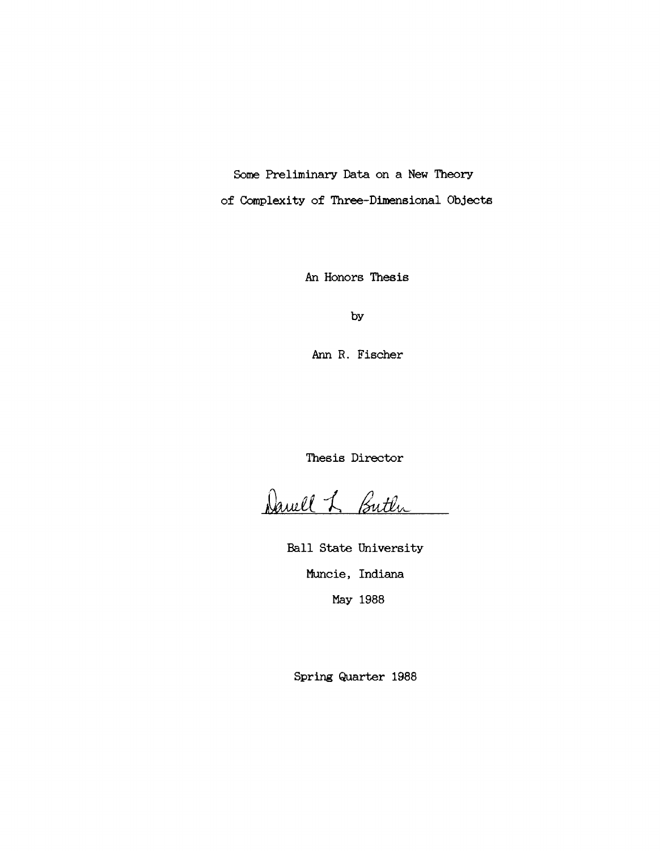Some Preliminary Data on a New Theory

of Complexity of Three-Dimensional Objects

An Honors Thesis

by

Ann R. Fischer

Thesis Director

Daviel L. Buth

Ball State University Muncie, Indiana May 1988

Spring Quarter 1988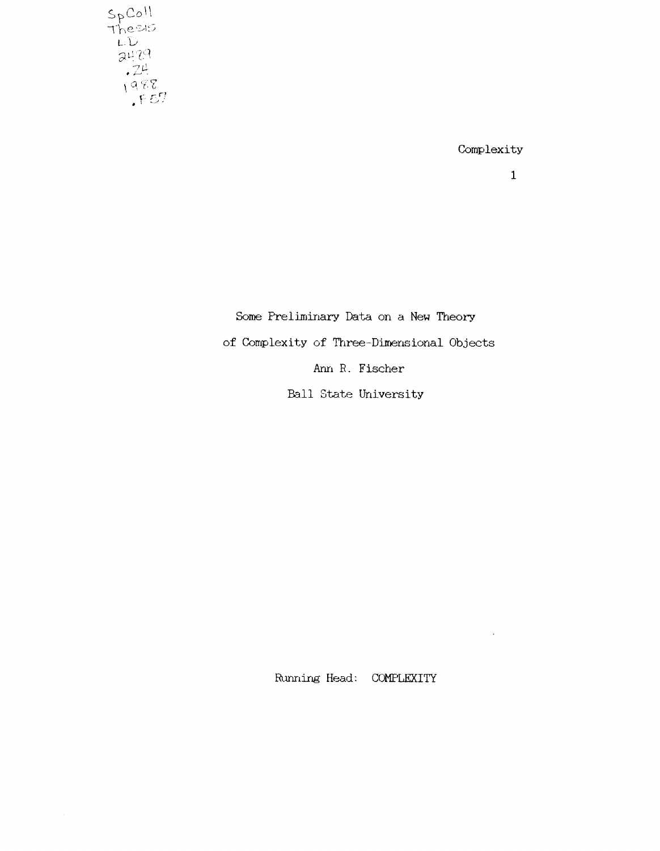$S_{\text{p}}$ Coll<br>Thesis<br>LD<br>LD<br>24.24<br>1988<br>1988

Complexity

 $\ddot{\phantom{a}}$ 

Some Freliminary Data on a New Theory of Complexity of Three-Dimensional Objects Ann R. Fischer Ball State University

Running Head: COMPLEXITY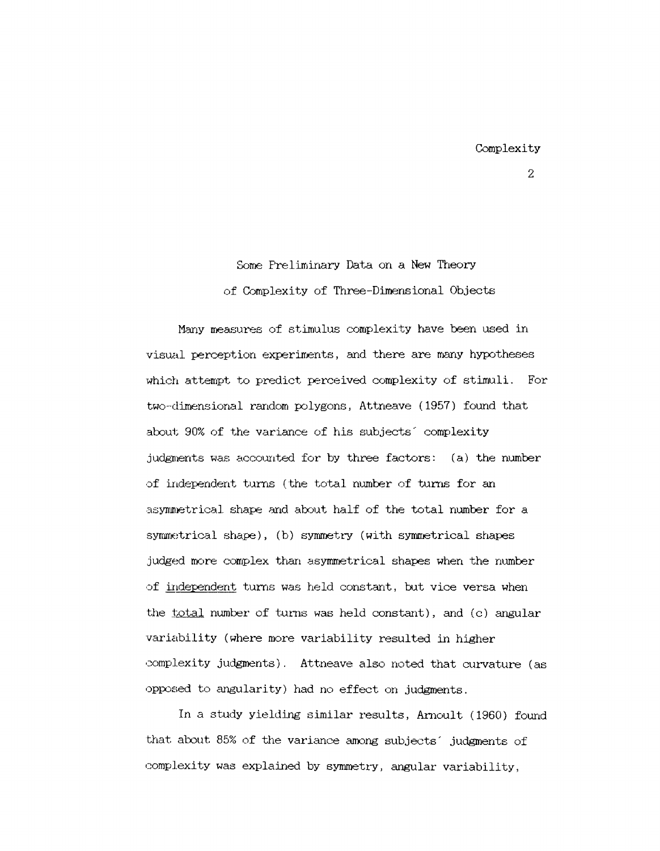Some Preliminary Data on a New Theory of Complexity of Three-Dimensional Objects

Many measures of stirnulus complexity have been used in visual perception experiments, and there are many hypotheses which attempt to predict perceived complexity of stimuli. For two-dimensional random polygons, Attneave (1957) found that about 90% of the variance of his subjects' complexity judgments was accounted for by three factors: (a) the number of independent turns (the total nwnber of turns for an asymmetrical shape and about half of the total number for a symmetrical shape), (b) symmetry (with symmetrical shapes judged rnore complex than asymmetrical shapes when the number of independent turns was held constant, but vice versa when the  $total$  number of turns was held constant), and (c) angular variability (where more variability resulted in higher complexity judgments). Attneave also noted that curvature (as OPPOBed to angularity) had no effect on judgments.

In a study yielding similar results, Arnoult (1960) found that about 85% of the variance among subjects' judgments of complexity was explained by symmetry, angular variability,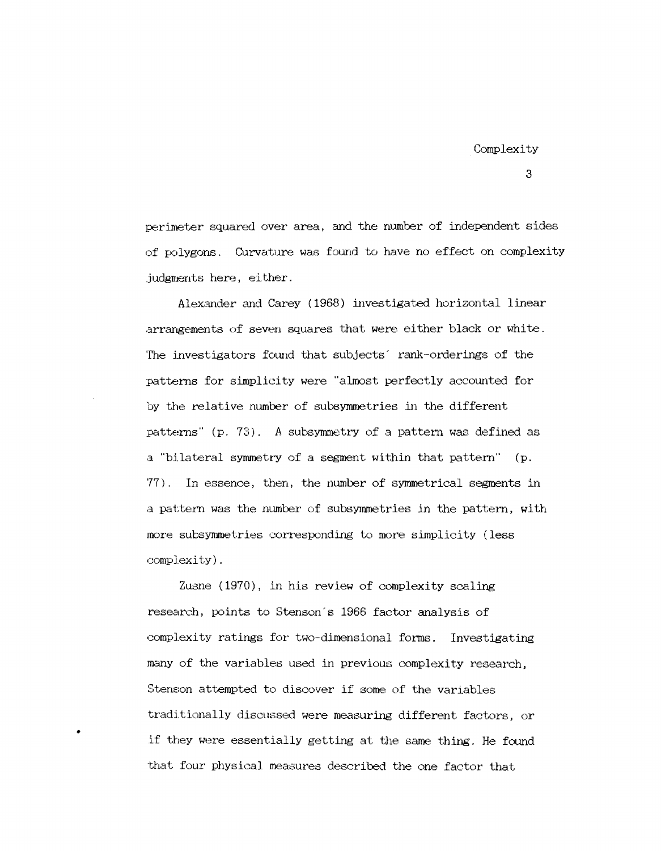perimeter squared over area, and the number of independent sides of polygons. Curvature was found to have no effect on complexity judgments here, either.

Alexander and Carey (1968) investigated horizontal linear arrangements of seven squares that were either black or white. The investigators found that subjects' rank-orderings of the patterns for simplicity were "almost perfectly accounted for by the relative number of subsymmetries in the different patterns"  $(p. 73)$ . A subsymmetry of a pattern was defined as a "bilateral symmetry of a segment within that pattern" (p. '77) . In essence, then, the number of symmetrical segments in a pattern was the number of subsymmetries in the pattern, with more subsymmetries corresponding to more simplicity (less complexi ty) .

Zusne (1970), in his review of complexity scaling research, points to Stenson's 1966 factor analysis of complexity ratings for two-dimensional forms. Investigating many of the variables used in previous complexity research, Stenson attempted to discover if some of the variables traditionally discussed were measuring different factors, or if they were essentially getting at the same thing. He found -that four physical measures described the one factor that

•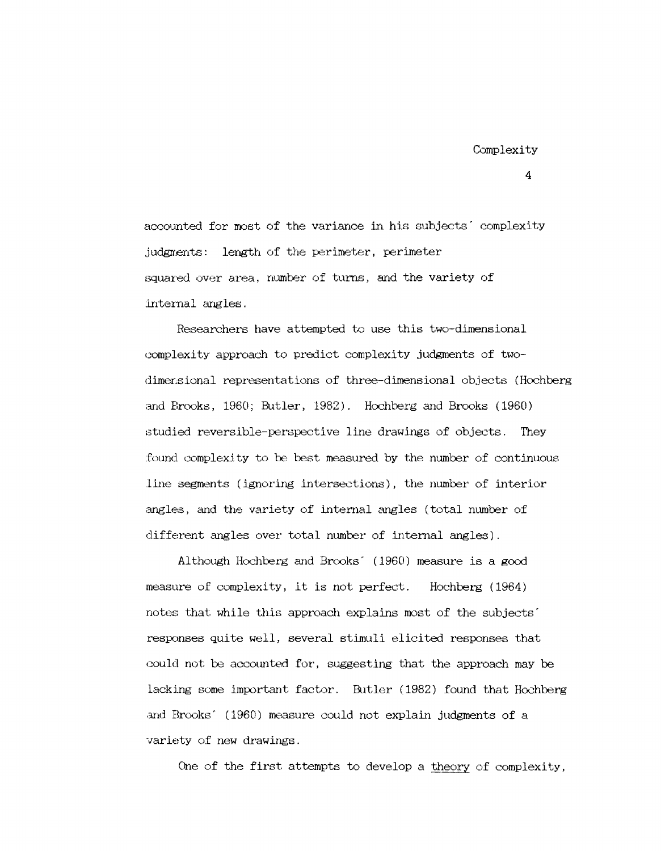accounted for most of the variance in his subjects complexity judgments: length of the perimeter, perimeter squared over area, number of turns, and the variety of internal angles.

Researchers have attempted to use this two-dimensional complexity approach to predict complexity judgments of twodimersional representations of three-dimensional objects (Hochberg and Brooks, 1960; Butler, 1982). Hochberg and Brooks (1960) studied reversible-perspective line drawings of objects. They found complexity to be best measured by the number of continuous line segments (ignoring intersections), the number of interior angles, and the variety of internal angles (total number of different angles over total number of internal angles).

Although Hochberg and Brooks' (1960) measure is a good measure of complexity, it is not perfect. Hochberg (1964) notes that while this approach explains most of the subjects' responses quite well, several stimuli elicited responses that could not be accounted for, suggesting that the approach may be lacking some important factor. Butler (1982) found that Hochberg and Brooks' (1960) measure could not explain judgments of a variety of new drawings.

One of the first attempts to develop a theory of complexity,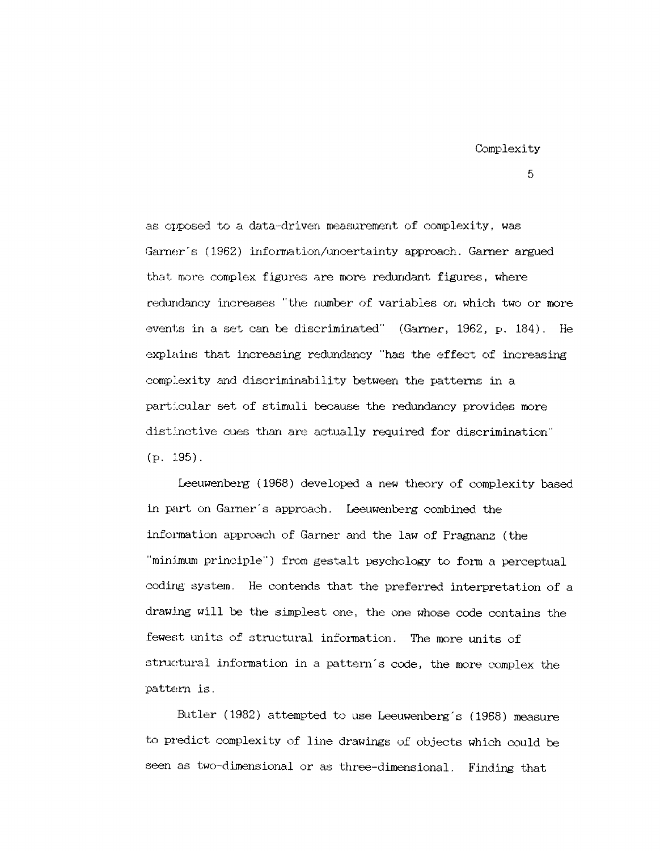as opposed to a data-driven measurement of complexity, was Garner's (1962) information/uncertainty approach. Garner argued that more complex figures are more redundant figures, where redtmdancy increases "the number of variables on which two or more events in a set can be discriminated" (Garner,  $1962$ , p.  $184$ ). He explains that increasing redundancy "has the effect of increasing complexity and discriminability between the patterns in a particular set of stimuli because the redundancy provides more distinctive cues than are actually required for discrimination"  $(p. 195)$ .

Leeuwenberg (1968) developed a new theory of complexity based in part on Garner's approach. Leeuwenberg combined the information approach of Garner and the law of Pragnanz (the "minimum principle") from gestalt psychology to form a perceptual coding system. He contends that the preferred interpretation of a drawing will be the simplest one, the one whose code contains the fewest units of structural information. The more units of structural information in a pattern's code, the more complex the pattern is.

Butler (1982) attempted to use Leeuwenberg's (1968) measure to predict complexity of line drawings of objects which could be seen as two-dimensional or as three-dimensional. Finding that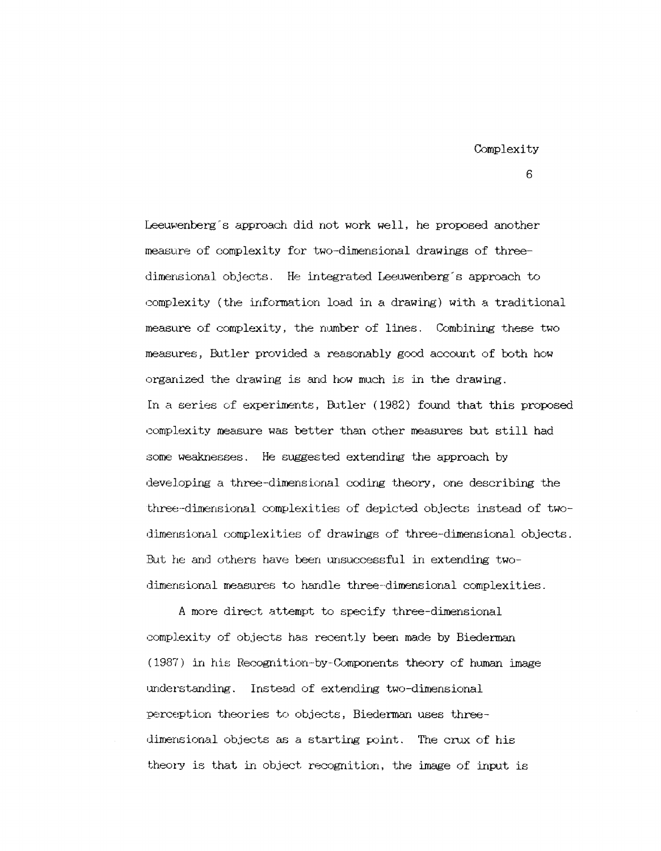Leeuwenberg's approach did not work well, he proposed another measure of complexity for two-dimensional drawings of threedimensional objects. He integrated Leeuwenberg's approach to complexity (the information load in a drawing) with a traditional measure of complexity, the number of lines. Combining these two measures, Butler provided a reasonably good account of both how organized the drawing is and how much is in the drawing. In a series of experiments, Butler (1982) found that this proposed complexity measure was better than other measures but still had some weaknesses. He suggested extending the approach by developing a three-dimensional coding theory, one describing the three-dimensional complexities of depicted objects instead of twodimensional complexities of drawings of three-dimensional objects. But he and others have been unsuccessful in extending twodimensional measures to handle three-dimensional complexities.

A more direct attempt to specify three-dimensional complexity of objects has recently been made by Biederman (1987) in his Recognition-by-Components theory of human image understanding. Instead of extending two-dimensional perception theories to objects, Biederman uses threedimensional objects as a starting point. The crux of his theory is that in object recognition, the image of input is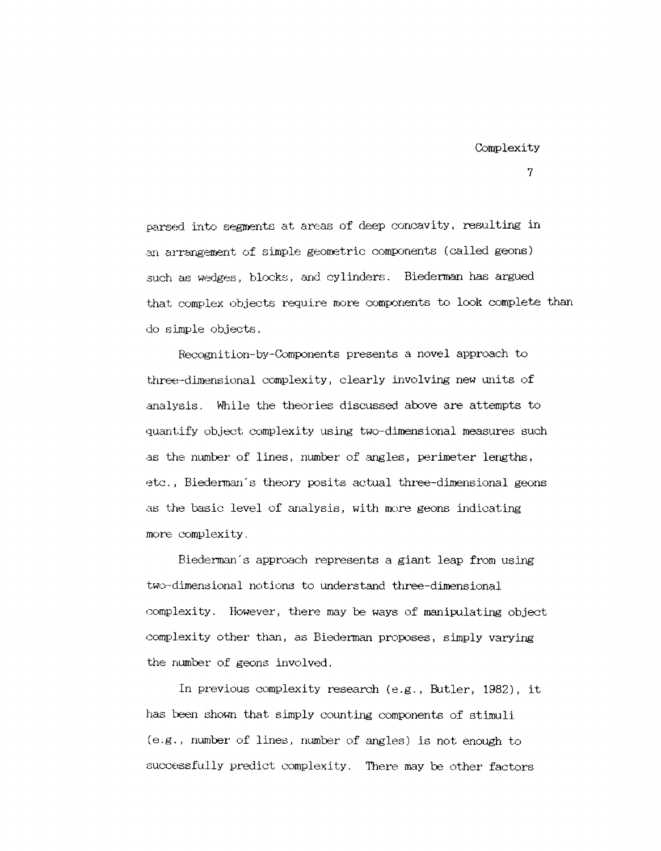parsed into segments at areas of deep concavity, resulting in an arrangement of simple geometric components (called geons) such as wedges, blocks, and cylinders. Biederman has argued that complex objects require more components to look complete than do simple objects.

Recognition-by-Q,mponents presents a novel approach to three-dimensional complexity, clearly involving new units of analysis. While the theories discussed above are attempts to quantify object complexity using two-dimensional measures such as the number of lines, number of angles, perimeter lengths, etc., Biederman's theory posits actual three-dimensional geons as the basic level of analysis, with more geons indicating more complexity.

Biederman's approach represents a giant leap from using two-dimensional notions to understand three-dimensional complexity. However, there may be ways of manipulating object complexi ty other than, as Biederman proposes, simply varying the number of geons involved.

In previous complexity research (e.g., Butler, 1982), it has been shown that simply counting components of stimuli (e. g., number of lines, number of angles) is not enough to successfully predict complexity. There may be other factors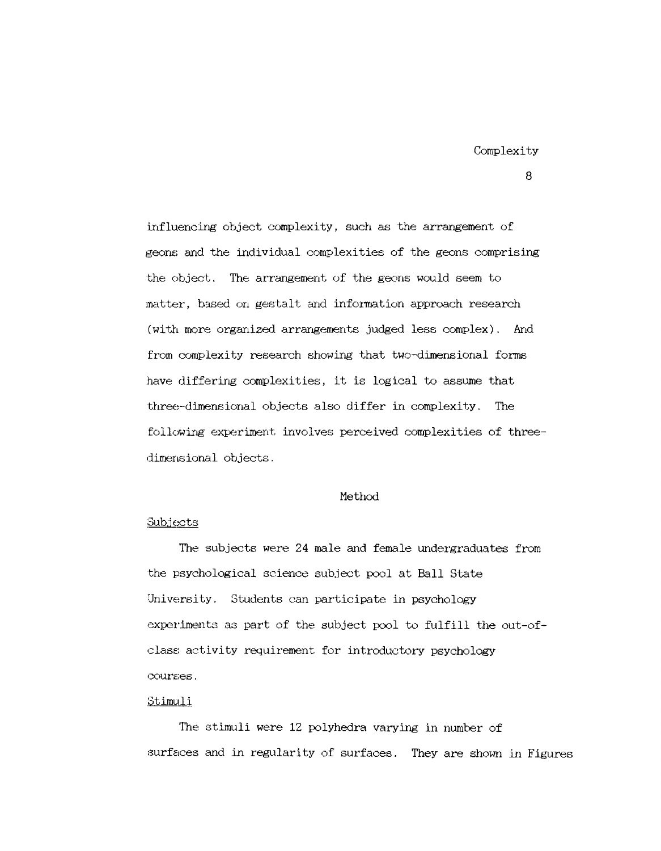influencing object complexity, such as the arrangement of geons and the individual complexities of the geons comprising the object. The arrangement of the geons would seem to matter, based on gestalt and information approach research (with more organized arrangements judged less complex). And from complexity research showing that two-dimensional forms have differing complexities, it is logical to assume that three-dimensional objects also differ in complexity. The following experiment involves perceived complexities of threedimensional objects.

### Method

#### :3ubjects

The subjects were 24 male and female undergraduates from the psychological science subject pool at Ball State University. Students can participate in psychology experiments as part of the subject pool to fulfill the out-ofclass activity requirement for introductory psychology courses.

#### Stimuli

The stimuli were 12 polyhedra varying in number of surfaces and in regularity of surfaces. They are shown in Figures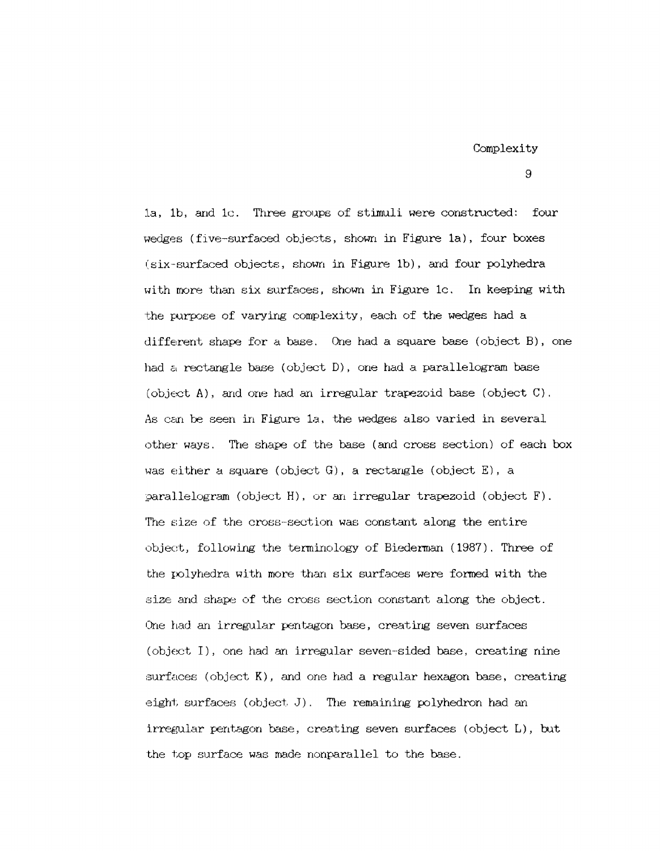Complexity

9

la, 1b, and 1c. Three groups of stimuli were constructed: four wedges (five-surfaced objects, shown in Figure 1a), four boxes (six-surfacecl objects, shown in Figure lb), and four polyhedra with more than six surfaces, shown in Figure 1c. In keeping with the purpose of varying complexity, each of the wedges had a different shape for a base. One had a square base (object  $B$ ), one had a rectangle base (object D), one had a parallelogram base (object A), and one had an irregular trapezoid base (object C). As can be seen in Figure 1a, the wedges also varied in several other ways. The shape of the base (and cross section) of each box was either a square (object G), a rectangle (object E), a ;;>arallelogram (object H), or an irregular trapezoid (object F). The size of the cross-section was constant along the entire object, following the terminology of Biederman (1987). Three of the polyhedra with more than six surfaces were formed with the size and shape of the cross section constant along the object. One had an irregular pentagon base, creating seven surfaces  $(object I)$ , one had an irregular seven-sided base, creating nine  $surfaces$  (object  $K$ ), and one had a regular hexagon base, creating eight surfaces (object  $J$ ). The remaining polyhedron had an  $irregular pentagon base, creating seven surfaces (object L), but$ the top surface was made nonparallel to the base.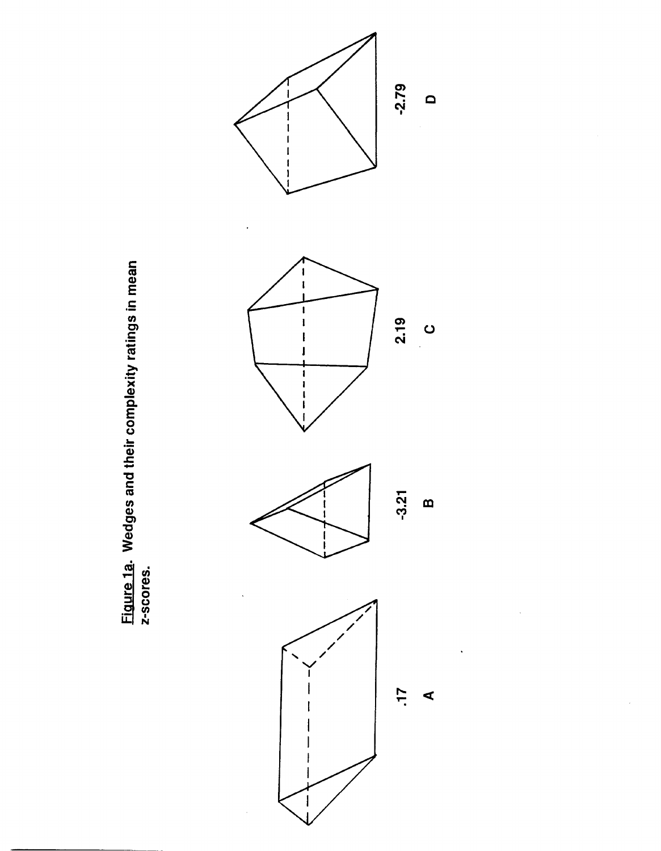

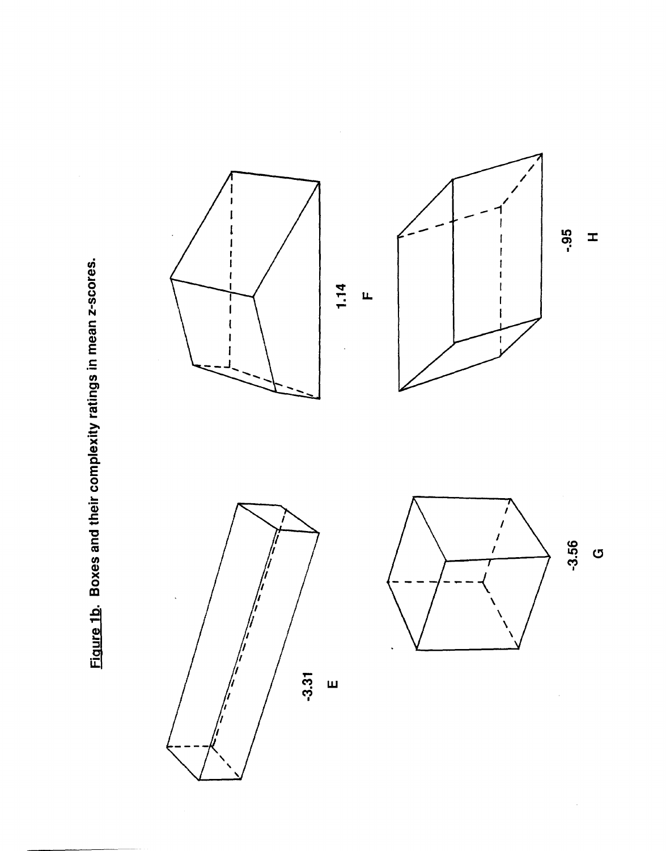Figure 1b. Boxes and their complexity ratings in mean z-scores.



ပ

 $\hat{\boldsymbol{\beta}}$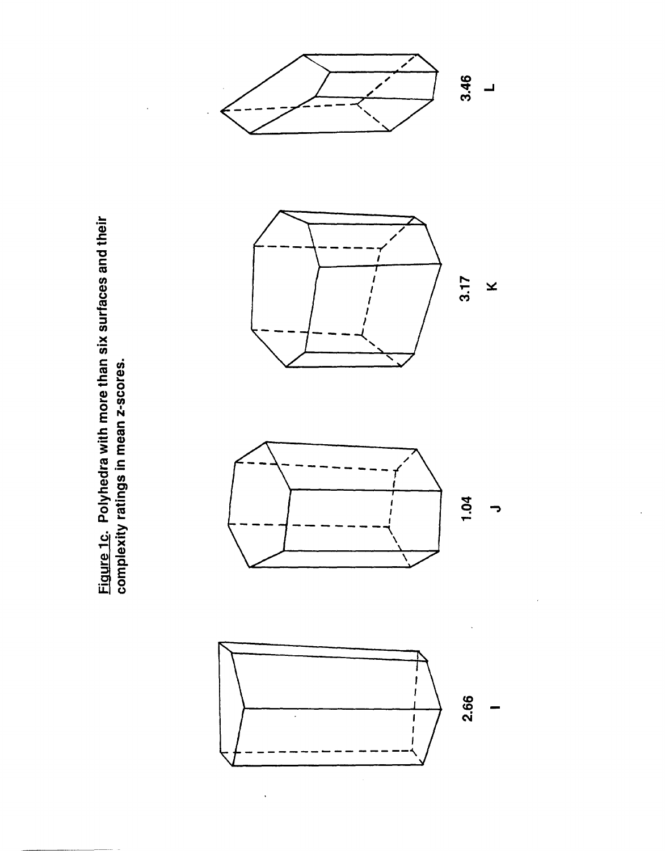Figure 1c. Polyhedra with more than six surfaces and their complexity ratings in mean z-scores.



 $\ddot{\phantom{0}}$ 

$$
\sum_{\substack{\longrightarrow \\ \text{odd } \text{odd } \text{odd } \text{odd}}} \mathfrak{g}_{\mathfrak{a}}.
$$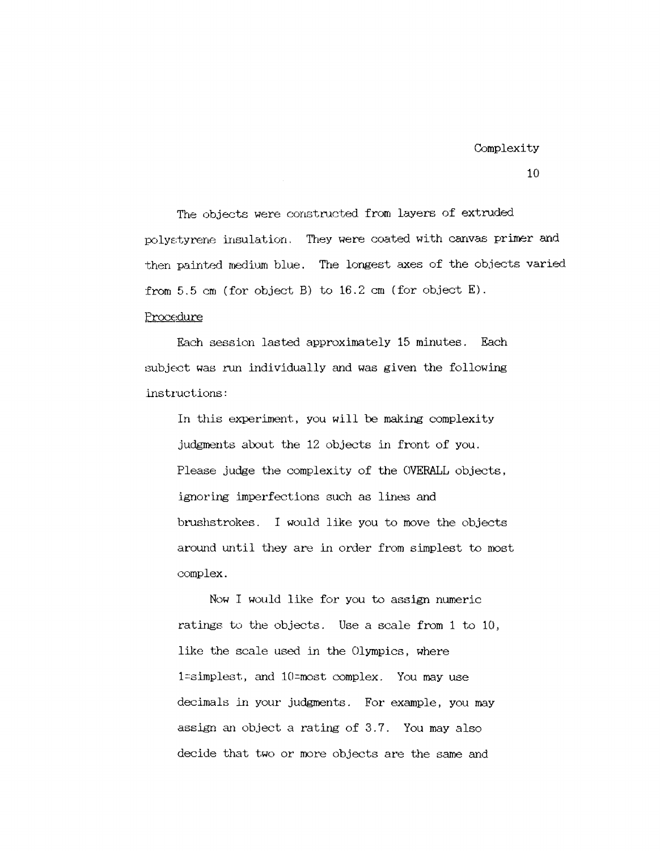# Complexity

10

The objects were constructed from layers of extruded poly:::tyrene insulation, They were coated with canvas primer and then painted medium blue. The longest axes of the objects varied from 5,5 em (for object B) to 16.2 em (for object E).

# Procedure

Each session lasted approximately 15 minutes. Each subject was run individually and was given the following instructions:

In this experiment, you will be making complexity judgments about the 12 objects in front of you. Please judge the complexity of the OVERALL objects, ignor ing imperfections such as lines and brushstrokes. I would like you to move the objects around until they are in order from simplest to most complex.

Now I would like for you to assign numeric ratings to the objects. Use a scale from 1 to 10, like the scale used in the Olympics, where l=:simplest, and 10=most complex. You may use decimals in your judgments. For example, you may assign an object a rating of 3.7. You may also decide that two or more objects are the same and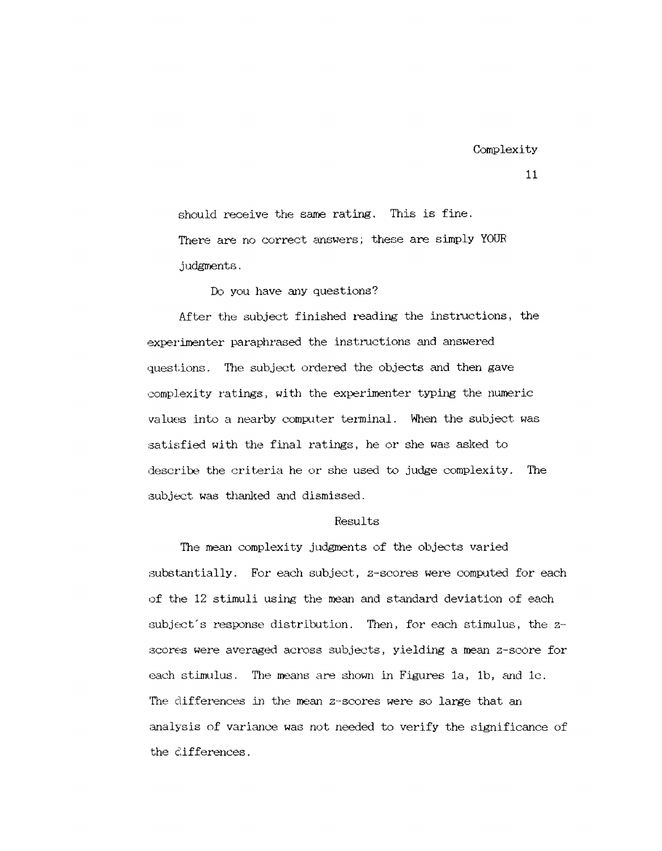should receive the same rating. This is fine. There are no correct answers; these are simply YOUR judgments.

Do you have any questions?

After the subject finished reading the instructions, the experimenter paraphrased the instructions and answered questions. The subject ordered the objects and then gave complexity ratings, with the experimenter typing the numeric values into a nearby computer terminal. When the subject. was satisfied with the final ratings, he or she was asked to describe the criteria he or she used to judge complexity. The subject was thanked and dismissed.

### Results

The mean complexity judgments of the objects varied substantially. For each subject, z-scores were computed for each of the 12 stimuli using the mean and standard deviation of each subject's response distribution. Then, for each stimulus, the  $z$ -:3cores were averaged across subjects, yielding a mean z-score for each stimulus. The means are shown in Figures 1a, 1b, and  $1c$ . The differences in the mean z-scores were so large that an analysis of variance was not needed to verify the significance of the differences.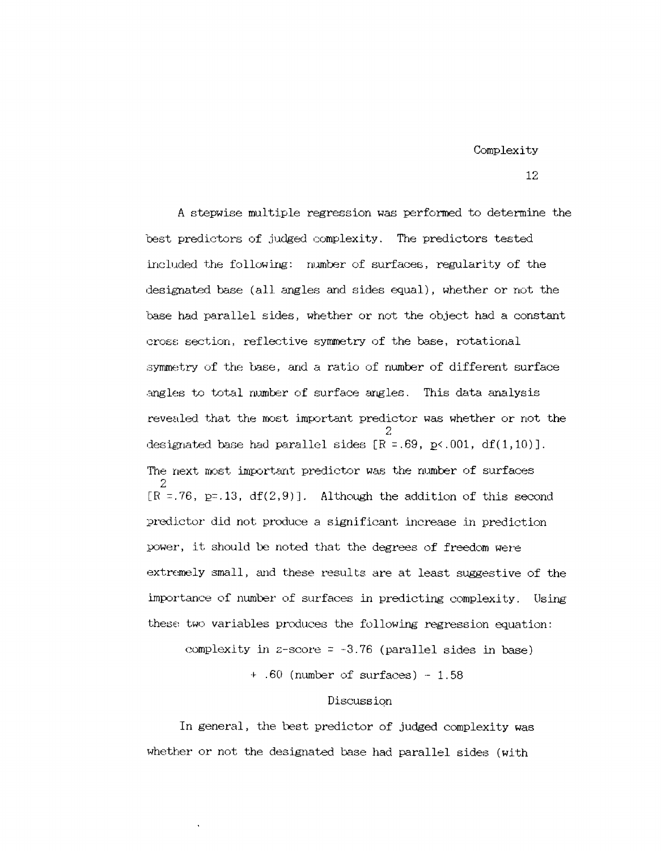Complexity

A stepwise multiple regression was performed to determine the best predictors of judged complexity. The predictors tested included the following: number of surfaces, regularity of the designated base (all angles and sides equal), whether or not the hase had parallel sides, whether or not the object had a constant cross section, reflective symmetry of the base, rotational symmetry of the base, and a ratio of number of different surface .ingles to total number of surface angles. This data analysis revealed that the most important predictor was whether or not the 2 designated base had parallel sides  $[R = .69, p \lt .001, df(1, 10)].$ The next most important predictor was the number of surfaces 2  $[R = .76, p = .13, df(2,9)].$  Although the addition of this second predict.or did not produce a significant. increase in prediction power, it should be noted that the degrees of freedom were extremely small, and these results are at least suggestive of the importance of number of surfaces in predicting complexity. Using these two variables produces the following regression equation:

complexity in z-score  $= -3.76$  (parallel sides in base)

 $+$  .60 (number of surfaces)  $-1.58$ 

#### Discussion

In general, the best predictor of judged complexity was whether or not the designated base had parallel sides (with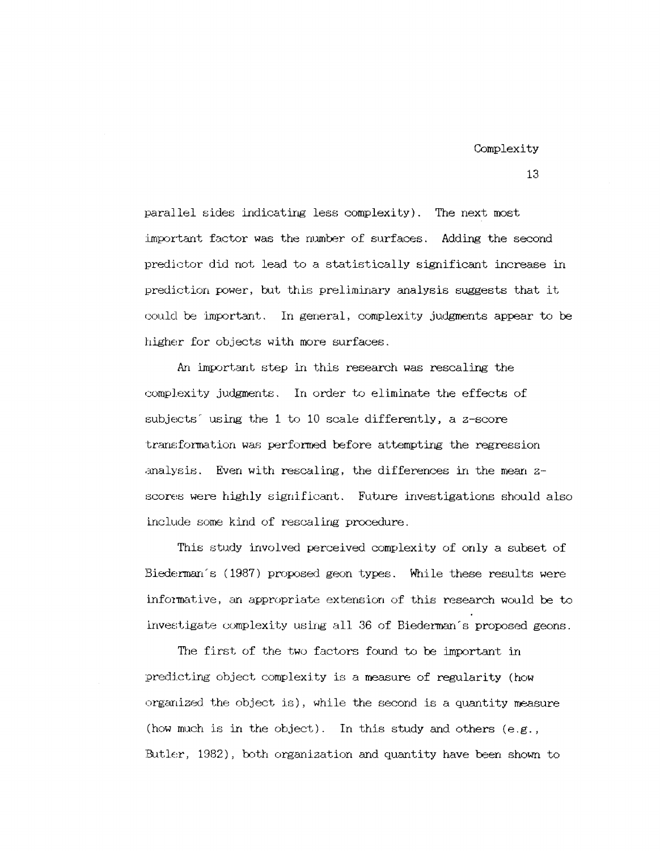parallel sides indicating less complexity). The next most important factor was the number of surfaces. Adding the second predictor did not lead to a statistically significant increase in prediction power, but this preliminary analysis suggests that it could be important. In general, complexity judgments appear to be higher for objects with more surfaces.

An important step in this research was rescaling the complexity judgments. In order to elimmate the effects of subjects' using the 1 to 10 scale differently, a z-score transformation was performed before attempting the regression analysis. Even with rescaling, the differences in the mean  $z$ scores were highly significant. Future investigations should also include some kind of rescaling procedure.

This study involved perceived complexity of only a subset of Biederman's (1987) proposed geon types. While these results were informative, an appropriate extension of this research would be to investigate complexity using all 36 of Biederman's proposed geons.

The first of the two factors found to be important in predicting object complexity is a measure of regularity (how organized the object is), while the second is a quantity measure (how much is in the object). In this study and others (e.g., Butler, 1982), both organization and quantity have been shown to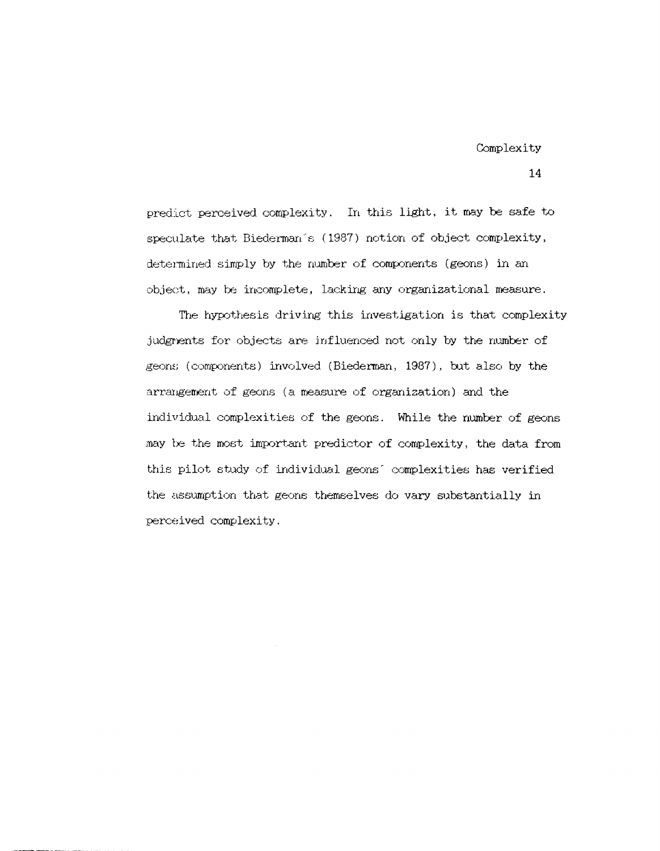predict perceived complexity. In this light, it may be safe to speculate that Biederman's (1987) notion of object complexity, determined simply by the number of components (geons) in an object, may be incomplete, lacking any organizational measure.

The hypothesis driving this investigation is that complexity judgments for objects are influenced not only by the number of geons (components) involved (Biederman, 1987), but also by the arrangement of geons (a measure of organization) and the individual complexities of the geons. While the number of geons may be the most important predictor of complexity, the data from this pilot study of individual geons' complexities has verified the assumption that geons themselves do vary substantially in perceived complexity.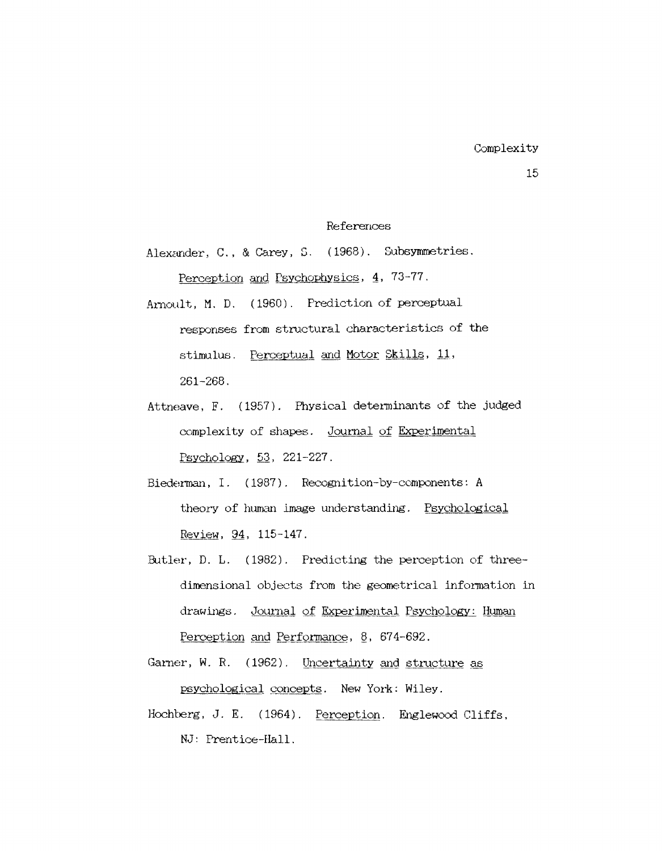## References

Alexander, C., & Carey, S. (1968). Subsymmetries. Perception and Psychophysics, 4, 73-77.

- Arnoult, M. D. (1960). Prediction of perceptual responses from structural characteristics of the stimulus. Perceptual and Motor Skills, 11, 261-268.
- Attneave, F. (1957). Physical determinants of the judged complexity of shapes. Journal of Experimental Psycholggy, 53, 221-227.
- Biederman, I. ( 1987). Recogni tion-by-components: A theory of human image understanding. Psychological Review, 94, 115-147.
- Butler, D. L. ( 1982) . Predicting the perception of threedimensional objects from the geometrical information in drawings. Journal of Experimental Psychology: Human Perception and Performance, 8, 674-692.
- Garner, W. R. (1962). Uncertainty and structure as psychological concepts. New York: Wiley.
- Hochberg, J. E.  $(1964)$ . Perception. Englewood Cliffs, NJ: Prentice-Hall.